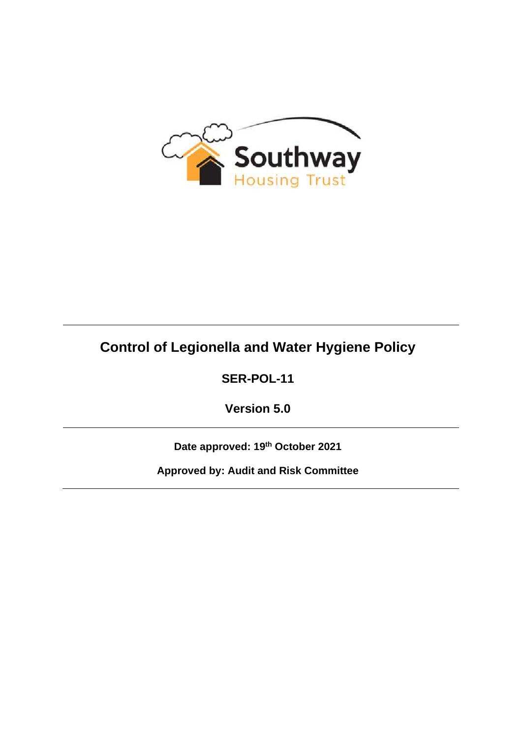

# **Control of Legionella and Water Hygiene Policy**

**SER-POL-11**

**Version 5.0**

**Date approved: 19th October 2021**

**Approved by: Audit and Risk Committee**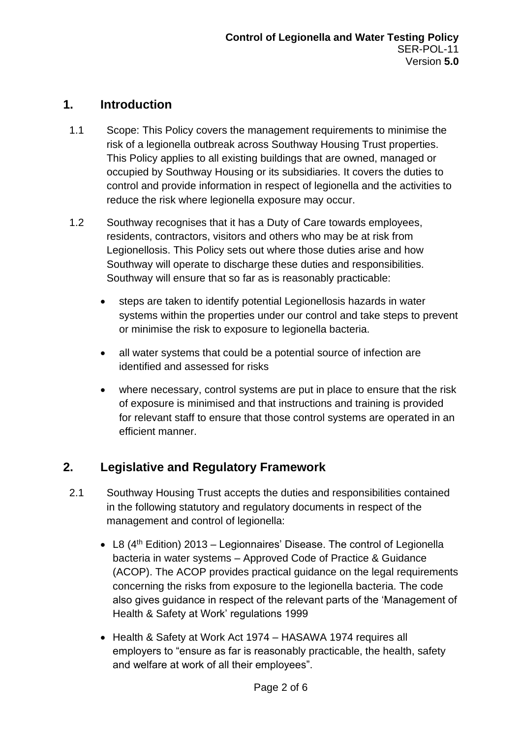# **1. Introduction**

- 1.1 Scope: This Policy covers the management requirements to minimise the risk of a legionella outbreak across Southway Housing Trust properties. This Policy applies to all existing buildings that are owned, managed or occupied by Southway Housing or its subsidiaries. It covers the duties to control and provide information in respect of legionella and the activities to reduce the risk where legionella exposure may occur.
- 1.2 Southway recognises that it has a Duty of Care towards employees, residents, contractors, visitors and others who may be at risk from Legionellosis. This Policy sets out where those duties arise and how Southway will operate to discharge these duties and responsibilities. Southway will ensure that so far as is reasonably practicable:
	- steps are taken to identify potential Legionellosis hazards in water systems within the properties under our control and take steps to prevent or minimise the risk to exposure to legionella bacteria.
	- all water systems that could be a potential source of infection are identified and assessed for risks
	- where necessary, control systems are put in place to ensure that the risk of exposure is minimised and that instructions and training is provided for relevant staff to ensure that those control systems are operated in an efficient manner.

# **2. Legislative and Regulatory Framework**

- 2.1 Southway Housing Trust accepts the duties and responsibilities contained in the following statutory and regulatory documents in respect of the management and control of legionella:
	- L8  $(4<sup>th</sup> Edition)$  2013 Legionnaires' Disease. The control of Legionella bacteria in water systems – Approved Code of Practice & Guidance (ACOP). The ACOP provides practical guidance on the legal requirements concerning the risks from exposure to the legionella bacteria. The code also gives guidance in respect of the relevant parts of the 'Management of Health & Safety at Work' regulations 1999
	- Health & Safety at Work Act 1974 HASAWA 1974 requires all employers to "ensure as far is reasonably practicable, the health, safety and welfare at work of all their employees".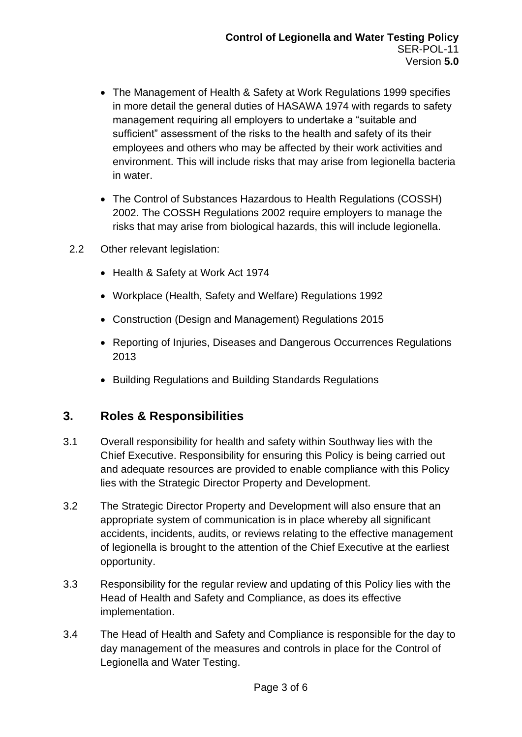- The Management of Health & Safety at Work Regulations 1999 specifies in more detail the general duties of HASAWA 1974 with regards to safety management requiring all employers to undertake a "suitable and sufficient" assessment of the risks to the health and safety of its their employees and others who may be affected by their work activities and environment. This will include risks that may arise from legionella bacteria in water.
- The Control of Substances Hazardous to Health Regulations (COSSH) 2002. The COSSH Regulations 2002 require employers to manage the risks that may arise from biological hazards, this will include legionella.
- 2.2 Other relevant legislation:
	- Health & Safety at Work Act 1974
	- Workplace (Health, Safety and Welfare) Regulations 1992
	- Construction (Design and Management) Regulations 2015
	- Reporting of Injuries, Diseases and Dangerous Occurrences Regulations 2013
	- Building Regulations and Building Standards Regulations

#### **3. Roles & Responsibilities**

- 3.1 Overall responsibility for health and safety within Southway lies with the Chief Executive. Responsibility for ensuring this Policy is being carried out and adequate resources are provided to enable compliance with this Policy lies with the Strategic Director Property and Development.
- 3.2 The Strategic Director Property and Development will also ensure that an appropriate system of communication is in place whereby all significant accidents, incidents, audits, or reviews relating to the effective management of legionella is brought to the attention of the Chief Executive at the earliest opportunity.
- 3.3 Responsibility for the regular review and updating of this Policy lies with the Head of Health and Safety and Compliance, as does its effective implementation.
- 3.4 The Head of Health and Safety and Compliance is responsible for the day to day management of the measures and controls in place for the Control of Legionella and Water Testing.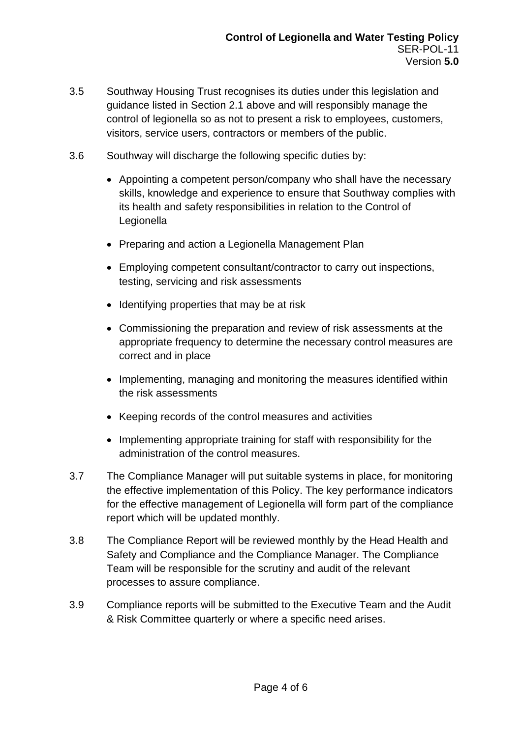- 3.5 Southway Housing Trust recognises its duties under this legislation and guidance listed in Section 2.1 above and will responsibly manage the control of legionella so as not to present a risk to employees, customers, visitors, service users, contractors or members of the public.
- 3.6 Southway will discharge the following specific duties by:
	- Appointing a competent person/company who shall have the necessary skills, knowledge and experience to ensure that Southway complies with its health and safety responsibilities in relation to the Control of Legionella
	- Preparing and action a Legionella Management Plan
	- Employing competent consultant/contractor to carry out inspections, testing, servicing and risk assessments
	- Identifying properties that may be at risk
	- Commissioning the preparation and review of risk assessments at the appropriate frequency to determine the necessary control measures are correct and in place
	- Implementing, managing and monitoring the measures identified within the risk assessments
	- Keeping records of the control measures and activities
	- Implementing appropriate training for staff with responsibility for the administration of the control measures.
- 3.7 The Compliance Manager will put suitable systems in place, for monitoring the effective implementation of this Policy. The key performance indicators for the effective management of Legionella will form part of the compliance report which will be updated monthly.
- 3.8 The Compliance Report will be reviewed monthly by the Head Health and Safety and Compliance and the Compliance Manager. The Compliance Team will be responsible for the scrutiny and audit of the relevant processes to assure compliance.
- 3.9 Compliance reports will be submitted to the Executive Team and the Audit & Risk Committee quarterly or where a specific need arises.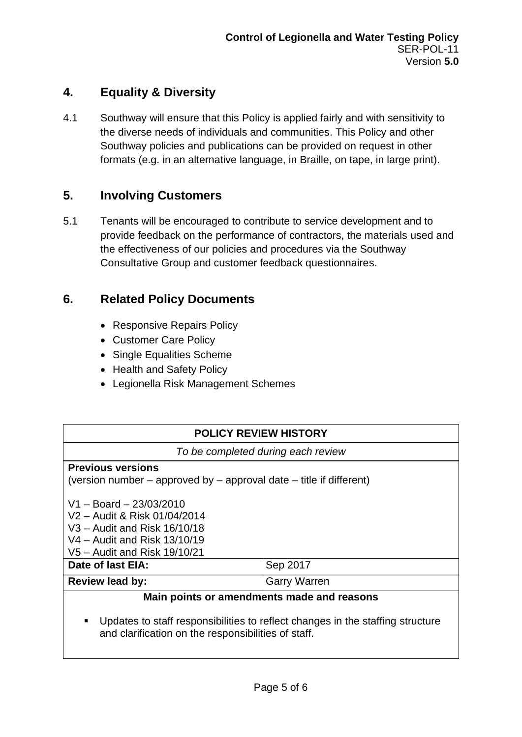# **4. Equality & Diversity**

4.1 Southway will ensure that this Policy is applied fairly and with sensitivity to the diverse needs of individuals and communities. This Policy and other Southway policies and publications can be provided on request in other formats (e.g. in an alternative language, in Braille, on tape, in large print).

# **5. Involving Customers**

5.1 Tenants will be encouraged to contribute to service development and to provide feedback on the performance of contractors, the materials used and the effectiveness of our policies and procedures via the Southway Consultative Group and customer feedback questionnaires.

# **6. Related Policy Documents**

- Responsive Repairs Policy
- Customer Care Policy
- Single Equalities Scheme
- Health and Safety Policy
- Legionella Risk Management Schemes

| <b>POLICY REVIEW HISTORY</b>                                                                                                                              |                     |  |
|-----------------------------------------------------------------------------------------------------------------------------------------------------------|---------------------|--|
| To be completed during each review                                                                                                                        |                     |  |
| <b>Previous versions</b><br>(version number $-$ approved by $-$ approval date $-$ title if different)                                                     |                     |  |
| $V1 - Board - 23/03/2010$<br>V2 - Audit & Risk 01/04/2014<br>V3 - Audit and Risk 16/10/18<br>V4 – Audit and Risk 13/10/19<br>V5 – Audit and Risk 19/10/21 |                     |  |
| Date of last EIA:                                                                                                                                         | Sep 2017            |  |
| <b>Review lead by:</b>                                                                                                                                    | <b>Garry Warren</b> |  |
| Main points or amendments made and reasons<br>I Indates to staff responsibilities to reflect changes in the staffing structure                            |                     |  |

inges in the staffing structure and clarification on the responsibilities of staff.